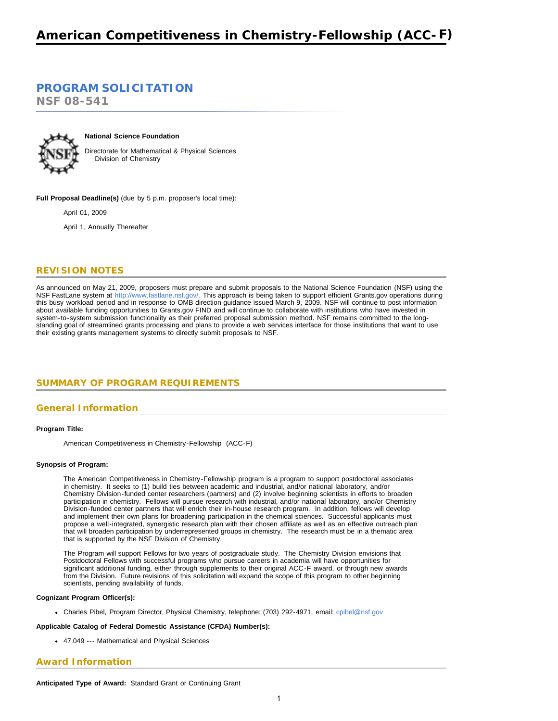# **[PROGRAM SOLICITATION](#page-2-0)**

**NSF 08-541**



**National Science Foundation**

Directorate for Mathematical & Physical Sciences Division of Chemistry

**Full Proposal Deadline(s)** (due by 5 p.m. proposer's local time):

April 01, 2009

April 1, Annually Thereafter

## **REVISION NOTES**

As announced on May 21, 2009, proposers must prepare and submit proposals to the National Science Foundation (NSF) using the NSF FastLane system at [http://www.fastlane.nsf.gov/.](http://www.fastlane.nsf.gov/) This approach is being taken to support efficient Grants.gov operations during this busy workload period and in response to OMB direction guidance issued March 9, 2009. NSF will continue to post information about available funding opportunities to Grants.gov FIND and will continue to collaborate with institutions who have invested in system-to-system submission functionality as their preferred proposal submission method. NSF remains committed to the longstanding goal of streamlined grants processing and plans to provide a web services interface for those institutions that want to use their existing grants management systems to directly submit proposals to NSF.

## <span id="page-0-0"></span>**SUMMARY OF PROGRAM REQUIREMENTS**

## **General Information**

### **Program Title:**

American Competitiveness in Chemistry-Fellowship (ACC-F)

### **Synopsis of Program:**

The American Competitiveness in Chemistry-Fellowship program is a program to support postdoctoral associates in chemistry. It seeks to (1) build ties between academic and industrial, and/or national laboratory, and/or Chemistry Division-funded center researchers (partners) and (2) involve beginning scientists in efforts to broaden participation in chemistry. Fellows will pursue research with industrial, and/or national laboratory, and/or Chemistry Division-funded center partners that will enrich their in-house research program. In addition, fellows will develop and implement their own plans for broadening participation in the chemical sciences. Successful applicants must propose a well-integrated, synergistic research plan with their chosen affiliate as well as an effective outreach plan that will broaden participation by underrepresented groups in chemistry. The research must be in a thematic area that is supported by the NSF Division of Chemistry.

The Program will support Fellows for two years of postgraduate study. The Chemistry Division envisions that Postdoctoral Fellows with successful programs who pursue careers in academia will have opportunities for significant additional funding, either through supplements to their original ACC-F award, or through new awards from the Division. Future revisions of this solicitation will expand the scope of this program to other beginning scientists, pending availability of funds.

### **Cognizant Program Officer(s):**

Charles Pibel, Program Director, Physical Chemistry, telephone: (703) 292-4971, email: [cpibel@nsf.gov](mailto:cpibel@nsf.gov)

### **Applicable Catalog of Federal Domestic Assistance (CFDA) Number(s):**

47.049 --- Mathematical and Physical Sciences

### **Award Information**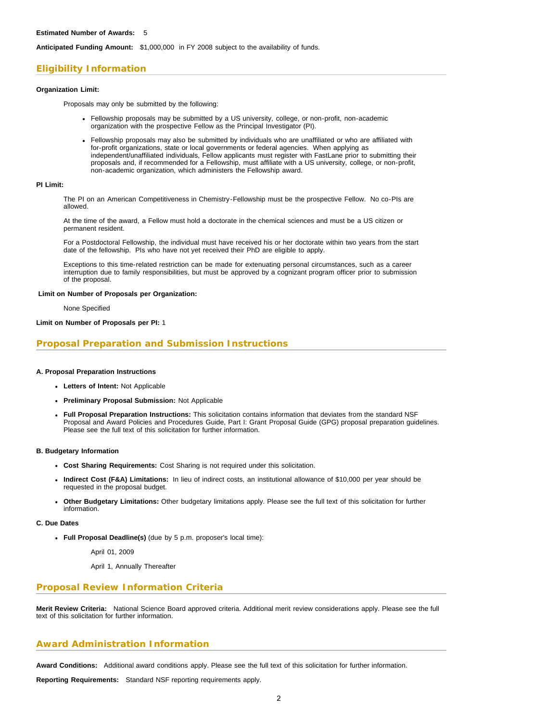**Anticipated Funding Amount:** \$1,000,000 in FY 2008 subject to the availability of funds.

### **Eligibility Information**

### **Organization Limit:**

Proposals may only be submitted by the following:

- Fellowship proposals may be submitted by a US university, college, or non-profit, non-academic organization with the prospective Fellow as the Principal Investigator (PI).
- Fellowship proposals may also be submitted by individuals who are unaffiliated or who are affiliated with for-profit organizations, state or local governments or federal agencies. When applying as independent/unaffiliated individuals, Fellow applicants must register with FastLane prior to submitting their proposals and, if recommended for a Fellowship, must affiliate with a US university, college, or non-profit, non-academic organization, which administers the Fellowship award.

#### **PI Limit:**

The PI on an American Competitiveness in Chemistry-Fellowship must be the prospective Fellow. No co-PIs are allowed.

At the time of the award, a Fellow must hold a doctorate in the chemical sciences and must be a US citizen or permanent resident.

For a Postdoctoral Fellowship, the individual must have received his or her doctorate within two years from the start date of the fellowship. PIs who have not yet received their PhD are eligible to apply.

Exceptions to this time-related restriction can be made for extenuating personal circumstances, such as a career interruption due to family responsibilities, but must be approved by a cognizant program officer prior to submission of the proposal.

#### **Limit on Number of Proposals per Organization:**

None Specified

**Limit on Number of Proposals per PI:** 1

### **Proposal Preparation and Submission Instructions**

#### **A. Proposal Preparation Instructions**

- **Letters of Intent:** Not Applicable
- **Preliminary Proposal Submission:** Not Applicable
- **Full Proposal Preparation Instructions:** This solicitation contains information that deviates from the standard NSF Proposal and Award Policies and Procedures Guide, Part I: Grant Proposal Guide (GPG) proposal preparation guidelines. Please see the full text of this solicitation for further information.

#### **B. Budgetary Information**

- **Cost Sharing Requirements:** Cost Sharing is not required under this solicitation.
- **Indirect Cost (F&A) Limitations:** In lieu of indirect costs, an institutional allowance of \$10,000 per year should be requested in the proposal budget.
- **Other Budgetary Limitations:** Other budgetary limitations apply. Please see the full text of this solicitation for further information.

#### **C. Due Dates**

**Full Proposal Deadline(s)** (due by 5 p.m. proposer's local time):

April 01, 2009

April 1, Annually Thereafter

### **Proposal Review Information Criteria**

**Merit Review Criteria:** National Science Board approved criteria. Additional merit review considerations apply. Please see the full text of this solicitation for further information.

### **Award Administration Information**

**Award Conditions:** Additional award conditions apply. Please see the full text of this solicitation for further information.

**Reporting Requirements:** Standard NSF reporting requirements apply.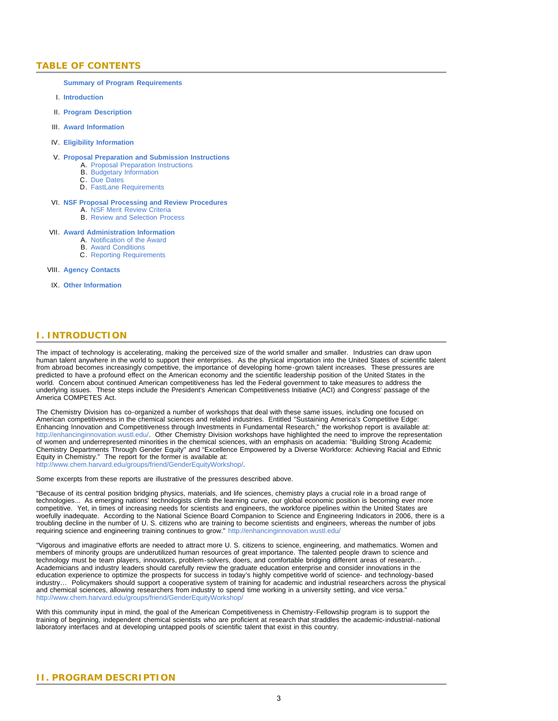## <span id="page-2-0"></span>**TABLE OF CONTENTS**

#### **[Summary of Program Requirements](#page-0-0)**

- I. **[Introduction](#page-2-1)**
- II. **[Program Description](#page-2-2)**
- III. **[Award Information](#page-3-0)**
- IV. **[Eligibility Information](#page-3-1)**

#### V. **[Proposal Preparation and Submission Instructions](#page-4-0)**

- A. [Proposal Preparation Instructions](#page-4-0)
- B. [Budgetary Information](#page-4-1)
- C. [Due Dates](#page-4-2)
- D. [FastLane Requirements](#page-4-3)

### VI. **[NSF Proposal Processing and Review Procedures](#page-5-0)**

- A. [NSF Merit Review Criteria](#page-5-1)
- B. [Review and Selection Process](#page-6-0)

#### VII. **[Award Administration Information](#page-6-1)**

- A. [Notification of the Award](#page-6-2)
- B. [Award Conditions](#page-6-3)
- C. [Reporting Requirements](#page-6-4)

VIII. **[Agency Contacts](#page-7-0)**

IX. **[Other Information](#page-7-1)**

## <span id="page-2-1"></span>**I. INTRODUCTION**

The impact of technology is accelerating, making the perceived size of the world smaller and smaller. Industries can draw upon human talent anywhere in the world to support their enterprises. As the physical importation into the United States of scientific talent from abroad becomes increasingly competitive, the importance of developing home-grown talent increases. These pressures are predicted to have a profound effect on the American economy and the scientific leadership position of the United States in the world. Concern about continued American competitiveness has led the Federal government to take measures to address the underlying issues. These steps include the President's American Competitiveness Initiative (ACI) and Congress' passage of the America COMPETES Act.

The Chemistry Division has co-organized a number of workshops that deal with these same issues, including one focused on American competitiveness in the chemical sciences and related industries. Entitled "Sustaining America's Competitive Edge: Enhancing Innovation and Competitiveness through Investments in Fundamental Research," the workshop report is available at: [http://enhancinginnovation.wustl.edu/.](http://www.nsf.gov/cgi-bin/good-bye?http://enhancinginnovation.wustl.edu/) Other Chemistry Division workshops have highlighted the need to improve the representation of women and underrepresented minorities in the chemical sciences, with an emphasis on academia: "Building Strong Academic Chemistry Departments Through Gender Equity" and "Excellence Empowered by a Diverse Workforce: Achieving Racial and Ethnic Equity in Chemistry." The report for the former is available at: [http://www.chem.harvard.edu/groups/friend/GenderEquityWorkshop/](http://www.nsf.gov/cgi-bin/good-bye?http://www.chem.harvard.edu/groups/friend/GenderEquityWorkshop/).

Some excerpts from these reports are illustrative of the pressures described above.

"Because of its central position bridging physics, materials, and life sciences, chemistry plays a crucial role in a broad range of technologies... As emerging nations' technologists climb the learning curve, our global economic position is becoming ever more competitive. Yet, in times of increasing needs for scientists and engineers, the workforce pipelines within the United States are woefully inadequate. According to the National Science Board Companion to Science and Engineering Indicators in 2006, there is a troubling decline in the number of U. S. citizens who are training to become scientists and engineers, whereas the number of jobs requiring science and engineering training continues to grow." [http://enhancinginnovation.wustl.edu/](http://www.nsf.gov/cgi-bin/good-bye?http://enhancinginnovation.wustl.edu/)

"Vigorous and imaginative efforts are needed to attract more U. S. citizens to science, engineering, and mathematics. Women and members of minority groups are underutilized human resources of great importance. The talented people drawn to science and technology must be team players, innovators, problem-solvers, doers, and comfortable bridging different areas of research… Academicians and industry leaders should carefully review the graduate education enterprise and consider innovations in the education experience to optimize the prospects for success in today's highly competitive world of science- and technology-based industry… Policymakers should support a cooperative system of training for academic and industrial researchers across the physical and chemical sciences, allowing researchers from industry to spend time working in a university setting, and vice versa." [http://www.chem.harvard.edu/groups/friend/GenderEquityWorkshop/](http://www.nsf.gov/cgi-bin/good-bye?http://www.chem.harvard.edu/groups/friend/GenderEquityWorkshop/)

<span id="page-2-2"></span>With this community input in mind, the goal of the American Competitiveness in Chemistry-Fellowship program is to support the training of beginning, independent chemical scientists who are proficient at research that straddles the academic-industrial-national laboratory interfaces and at developing untapped pools of scientific talent that exist in this country.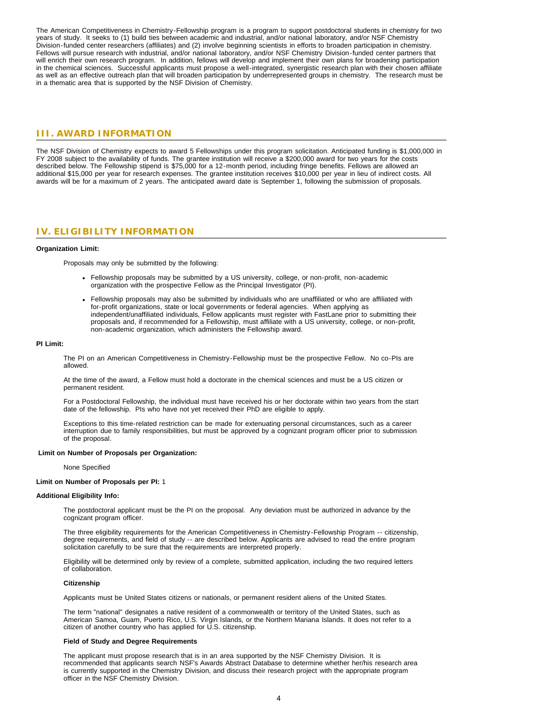The American Competitiveness in Chemistry-Fellowship program is a program to support postdoctoral students in chemistry for two years of study. It seeks to (1) build ties between academic and industrial, and/or national laboratory, and/or NSF Chemistry Division-funded center researchers (affiliates) and (2) involve beginning scientists in efforts to broaden participation in chemistry. Fellows will pursue research with industrial, and/or national laboratory, and/or NSF Chemistry Division-funded center partners that will enrich their own research program. In addition, fellows will develop and implement their own plans for broadening participation in the chemical sciences. Successful applicants must propose a well-integrated, synergistic research plan with their chosen affiliate as well as an effective outreach plan that will broaden participation by underrepresented groups in chemistry. The research must be in a thematic area that is supported by the NSF Division of Chemistry.

## <span id="page-3-0"></span>**III. AWARD INFORMATION**

The NSF Division of Chemistry expects to award 5 Fellowships under this program solicitation. Anticipated funding is \$1,000,000 in FY 2008 subject to the availability of funds. The grantee institution will receive a \$200,000 award for two years for the costs described below. The Fellowship stipend is \$75,000 for a 12-month period, including fringe benefits. Fellows are allowed an additional \$15,000 per year for research expenses. The grantee institution receives \$10,000 per year in lieu of indirect costs. All awards will be for a maximum of 2 years. The anticipated award date is September 1, following the submission of proposals.

## <span id="page-3-1"></span>**IV. ELIGIBILITY INFORMATION**

#### **Organization Limit:**

Proposals may only be submitted by the following:

- Fellowship proposals may be submitted by a US university, college, or non-profit, non-academic organization with the prospective Fellow as the Principal Investigator (PI).
- Fellowship proposals may also be submitted by individuals who are unaffiliated or who are affiliated with for-profit organizations, state or local governments or federal agencies. When applying as independent/unaffiliated individuals, Fellow applicants must register with FastLane prior to submitting their proposals and, if recommended for a Fellowship, must affiliate with a US university, college, or non-profit, non-academic organization, which administers the Fellowship award.

#### **PI Limit:**

The PI on an American Competitiveness in Chemistry-Fellowship must be the prospective Fellow. No co-PIs are allowed.

At the time of the award, a Fellow must hold a doctorate in the chemical sciences and must be a US citizen or permanent resident.

For a Postdoctoral Fellowship, the individual must have received his or her doctorate within two years from the start date of the fellowship. PIs who have not yet received their PhD are eligible to apply.

Exceptions to this time-related restriction can be made for extenuating personal circumstances, such as a career interruption due to family responsibilities, but must be approved by a cognizant program officer prior to submission of the proposal.

#### **Limit on Number of Proposals per Organization:**

#### None Specified

**Limit on Number of Proposals per PI:** 1

### **Additional Eligibility Info:**

The postdoctoral applicant must be the PI on the proposal. Any deviation must be authorized in advance by the cognizant program officer.

The three eligibility requirements for the American Competitiveness in Chemistry-Fellowship Program -- citizenship, degree requirements, and field of study -- are described below. Applicants are advised to read the entire program solicitation carefully to be sure that the requirements are interpreted properly.

Eligibility will be determined only by review of a complete, submitted application, including the two required letters of collaboration.

#### **Citizenship**

Applicants must be United States citizens or nationals, or permanent resident aliens of the United States.

The term "national" designates a native resident of a commonwealth or territory of the United States, such as American Samoa, Guam, Puerto Rico, U.S. Virgin Islands, or the Northern Mariana Islands. It does not refer to a citizen of another country who has applied for U.S. citizenship.

#### **Field of Study and Degree Requirements**

The applicant must propose research that is in an area supported by the NSF Chemistry Division. It is recommended that applicants search NSF's Awards Abstract Database to determine whether her/his research area is currently supported in the Chemistry Division, and discuss their research project with the appropriate program officer in the NSF Chemistry Division.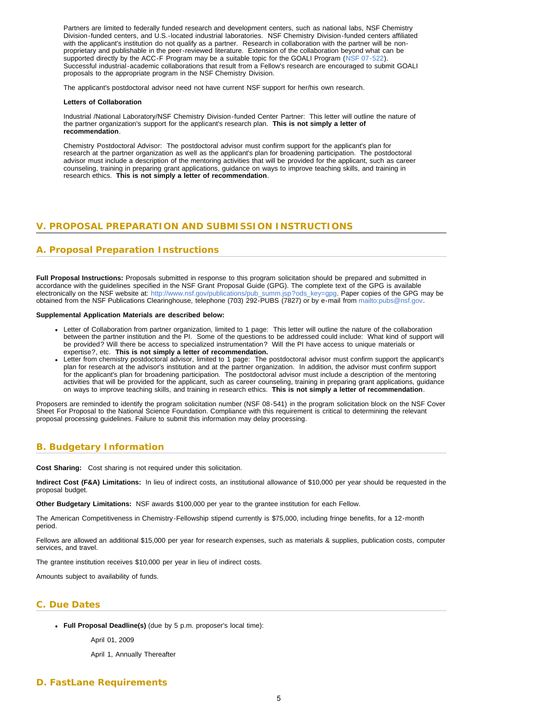Partners are limited to federally funded research and development centers, such as national labs, NSF Chemistry Division-funded centers, and U.S.-located industrial laboratories. NSF Chemistry Division-funded centers affiliated with the applicant's institution do not qualify as a partner. Research in collaboration with the partner will be nonproprietary and publishable in the peer-reviewed literature. Extension of the collaboration beyond what can be supported directly by the ACC-F Program may be a suitable topic for the GOALI Program ([NSF 07-522\)](http://www.nsf.gov/publications/pub_summ.jsp?ods_key=nsf07522). Successful industrial-academic collaborations that result from a Fellow's research are encouraged to submit GOALI proposals to the appropriate program in the NSF Chemistry Division.

The applicant's postdoctoral advisor need not have current NSF support for her/his own research.

#### **Letters of Collaboration**

Industrial /National Laboratory/NSF Chemistry Division-funded Center Partner: This letter will outline the nature of the partner organization's support for the applicant's research plan. **This is not simply a letter of recommendation**.

Chemistry Postdoctoral Advisor: The postdoctoral advisor must confirm support for the applicant's plan for research at the partner organization as well as the applicant's plan for broadening participation. The postdoctoral advisor must include a description of the mentoring activities that will be provided for the applicant, such as career counseling, training in preparing grant applications, guidance on ways to improve teaching skills, and training in research ethics. **This is not simply a letter of recommendation**.

## <span id="page-4-0"></span>**V. PROPOSAL PREPARATION AND SUBMISSION INSTRUCTIONS**

## **A. Proposal Preparation Instructions**

**Full Proposal Instructions:** Proposals submitted in response to this program solicitation should be prepared and submitted in accordance with the guidelines specified in the NSF Grant Proposal Guide (GPG). The complete text of the GPG is available electronically on the NSF website at: [http://www.nsf.gov/publications/pub\\_summ.jsp?ods\\_key=gpg.](http://www.nsf.gov/publications/pub_summ.jsp?ods_key=gpg) Paper copies of the GPG may be obtained from the NSF Publications Clearinghouse, telephone (703) 292-PUBS (7827) or by e-mail from [mailto:pubs@nsf.gov.](mailto:pubs@nsf.gov)

#### **Supplemental Application Materials are described below:**

- Letter of Collaboration from partner organization, limited to 1 page: This letter will outline the nature of the collaboration between the partner institution and the PI. Some of the questions to be addressed could include: What kind of support will be provided? Will there be access to specialized instrumentation? Will the PI have access to unique materials or expertise?, etc. **This is not simply a letter of recommendation.**
- Letter from chemistry postdoctoral advisor, limited to 1 page: The postdoctoral advisor must confirm support the applicant's plan for research at the advisor's institution and at the partner organization. In addition, the advisor must confirm support for the applicant's plan for broadening participation. The postdoctoral advisor must include a description of the mentoring activities that will be provided for the applicant, such as career counseling, training in preparing grant applications, guidance on ways to improve teaching skills, and training in research ethics. **This is not simply a letter of recommendation**.

Proposers are reminded to identify the program solicitation number (NSF 08-541) in the program solicitation block on the NSF Cover Sheet For Proposal to the National Science Foundation. Compliance with this requirement is critical to determining the relevant proposal processing guidelines. Failure to submit this information may delay processing.

## <span id="page-4-1"></span>**B. Budgetary Information**

**Cost Sharing:** Cost sharing is not required under this solicitation.

**Indirect Cost (F&A) Limitations:** In lieu of indirect costs, an institutional allowance of \$10,000 per year should be requested in the proposal budget.

**Other Budgetary Limitations:** NSF awards \$100,000 per year to the grantee institution for each Fellow.

The American Competitiveness in Chemistry-Fellowship stipend currently is \$75,000, including fringe benefits, for a 12-month period.

Fellows are allowed an additional \$15,000 per year for research expenses, such as materials & supplies, publication costs, computer services, and travel.

The grantee institution receives \$10,000 per year in lieu of indirect costs.

Amounts subject to availability of funds.

### <span id="page-4-2"></span>**C. Due Dates**

**Full Proposal Deadline(s)** (due by 5 p.m. proposer's local time):

April 01, 2009

April 1, Annually Thereafter

### <span id="page-4-3"></span>**D. FastLane Requirements**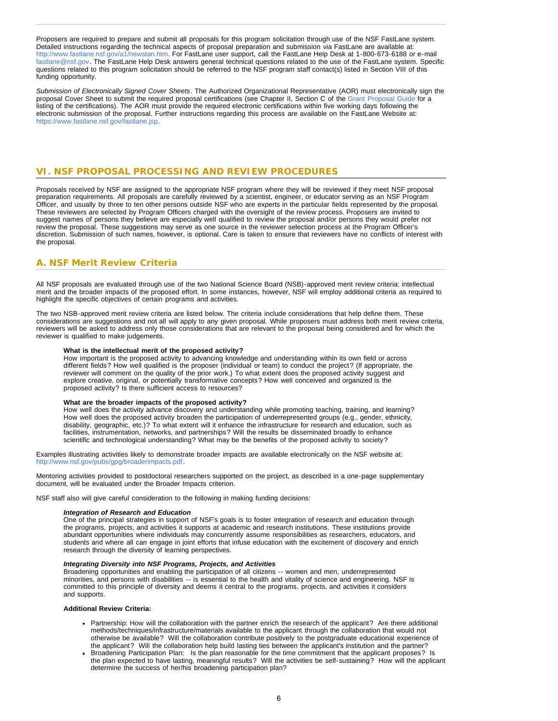Proposers are required to prepare and submit all proposals for this program solicitation through use of the NSF FastLane system. Detailed instructions regarding the technical aspects of proposal preparation and submission via FastLane are available at: [http://www.fastlane.nsf.gov/a1/newstan.htm.](http://www.fastlane.nsf.gov/a1/newstan.htm) For FastLane user support, call the FastLane Help Desk at 1-800-673-6188 or e-mail [fastlane@nsf.gov.](mailto:fastlane@nsf.gov) The FastLane Help Desk answers general technical questions related to the use of the FastLane system. Specific questions related to this program solicitation should be referred to the NSF program staff contact(s) listed in Section VIII of this funding opportunity.

*Submission of Electronically Signed Cover Sheets*. The Authorized Organizational Representative (AOR) must electronically sign the proposal Cover Sheet to submit the required proposal certifications (see Chapter II, Section C of the [Grant Proposal Guide](http://www.nsf.gov/publications/pub_summ.jsp?ods_key=gpg) for a listing of the certifications). The AOR must provide the required electronic certifications within five working days following the electronic submission of the proposal. Further instructions regarding this process are available on the FastLane Website at: [https://www.fastlane.nsf.gov/fastlane.jsp.](https://www.fastlane.nsf.gov/fastlane.jsp)

### <span id="page-5-0"></span>**VI. NSF PROPOSAL PROCESSING AND REVIEW PROCEDURES**

<span id="page-5-1"></span>Proposals received by NSF are assigned to the appropriate NSF program where they will be reviewed if they meet NSF proposal preparation requirements. All proposals are carefully reviewed by a scientist, engineer, or educator serving as an NSF Program Officer, and usually by three to ten other persons outside NSF who are experts in the particular fields represented by the proposal. These reviewers are selected by Program Officers charged with the oversight of the review process. Proposers are invited to suggest names of persons they believe are especially well qualified to review the proposal and/or persons they would prefer not review the proposal. These suggestions may serve as one source in the reviewer selection process at the Program Officer's discretion. Submission of such names, however, is optional. Care is taken to ensure that reviewers have no conflicts of interest with the proposal.

## **A. NSF Merit Review Criteria**

All NSF proposals are evaluated through use of the two National Science Board (NSB)-approved merit review criteria: intellectual merit and the broader impacts of the proposed effort. In some instances, however, NSF will employ additional criteria as required to highlight the specific objectives of certain programs and activities.

The two NSB-approved merit review criteria are listed below. The criteria include considerations that help define them. These considerations are suggestions and not all will apply to any given proposal. While proposers must address both merit review criteria, reviewers will be asked to address only those considerations that are relevant to the proposal being considered and for which the reviewer is qualified to make judgements.

### **What is the intellectual merit of the proposed activity?**

How important is the proposed activity to advancing knowledge and understanding within its own field or across different fields? How well qualified is the proposer (individual or team) to conduct the project? (If appropriate, the reviewer will comment on the quality of the prior work.) To what extent does the proposed activity suggest and explore creative, original, or potentially transformative concepts? How well conceived and organized is the proposed activity? Is there sufficient access to resources?

#### **What are the broader impacts of the proposed activity?**

How well does the activity advance discovery and understanding while promoting teaching, training, and learning? How well does the proposed activity broaden the participation of underrepresented groups (e.g., gender, ethnicity, disability, geographic, etc.)? To what extent will it enhance the infrastructure for research and education, such as facilities, instrumentation, networks, and partnerships? Will the results be disseminated broadly to enhance scientific and technological understanding? What may be the benefits of the proposed activity to society?

Examples illustrating activities likely to demonstrate broader impacts are available electronically on the NSF website at: <http://www.nsf.gov/pubs/gpg/broaderimpacts.pdf>.

Mentoring activities provided to postdoctoral researchers supported on the project, as described in a one-page supplementary document, will be evaluated under the Broader Impacts criterion.

NSF staff also will give careful consideration to the following in making funding decisions:

### *Integration of Research and Education*

One of the principal strategies in support of NSF's goals is to foster integration of research and education through the programs, projects, and activities it supports at academic and research institutions. These institutions provide abundant opportunities where individuals may concurrently assume responsibilities as researchers, educators, and students and where all can engage in joint efforts that infuse education with the excitement of discovery and enrich research through the diversity of learning perspectives.

#### *Integrating Diversity into NSF Programs, Projects, and Activities*

Broadening opportunities and enabling the participation of all citizens -- women and men, underrepresented minorities, and persons with disabilities -- is essential to the health and vitality of science and engineering. NSF is committed to this principle of diversity and deems it central to the programs, projects, and activities it considers and supports.

#### **Additional Review Criteria:**

- Partnership: How will the collaboration with the partner enrich the research of the applicant? Are there additional methods/techniques/infrastructure/materials available to the applicant through the collaboration that would not otherwise be available? Will the collaboration contribute positively to the postgraduate educational experience of the applicant? Will the collaboration help build lasting ties between the applicant's institution and the partner?
- Broadening Participation Plan: Is the plan reasonable for the time commitment that the applicant proposes? Is the plan expected to have lasting, meaningful results? Will the activities be self-sustaining? How will the applicant determine the success of her/his broadening participation plan?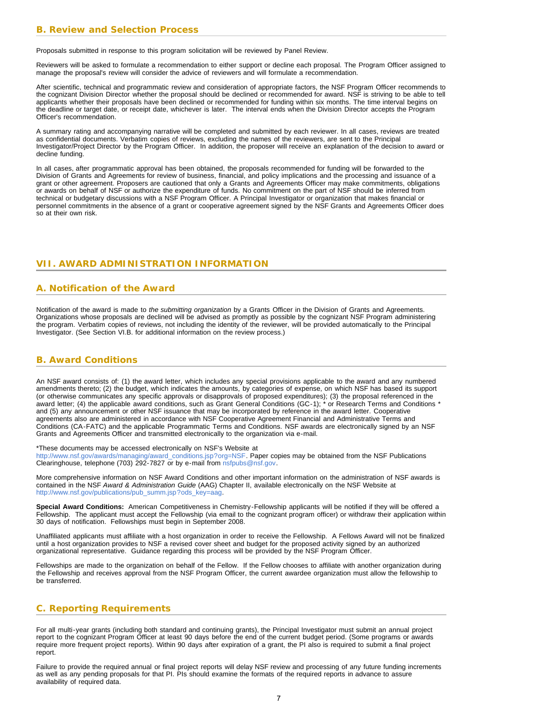<span id="page-6-0"></span>Proposals submitted in response to this program solicitation will be reviewed by Panel Review.

Reviewers will be asked to formulate a recommendation to either support or decline each proposal. The Program Officer assigned to manage the proposal's review will consider the advice of reviewers and will formulate a recommendation.

After scientific, technical and programmatic review and consideration of appropriate factors, the NSF Program Officer recommends to the cognizant Division Director whether the proposal should be declined or recommended for award. NSF is striving to be able to tell applicants whether their proposals have been declined or recommended for funding within six months. The time interval begins on the deadline or target date, or receipt date, whichever is later. The interval ends when the Division Director accepts the Program Officer's recommendation.

A summary rating and accompanying narrative will be completed and submitted by each reviewer. In all cases, reviews are treated as confidential documents. Verbatim copies of reviews, excluding the names of the reviewers, are sent to the Principal Investigator/Project Director by the Program Officer. In addition, the proposer will receive an explanation of the decision to award or decline funding.

In all cases, after programmatic approval has been obtained, the proposals recommended for funding will be forwarded to the Division of Grants and Agreements for review of business, financial, and policy implications and the processing and issuance of a grant or other agreement. Proposers are cautioned that only a Grants and Agreements Officer may make commitments, obligations or awards on behalf of NSF or authorize the expenditure of funds. No commitment on the part of NSF should be inferred from technical or budgetary discussions with a NSF Program Officer. A Principal Investigator or organization that makes financial or personnel commitments in the absence of a grant or cooperative agreement signed by the NSF Grants and Agreements Officer does so at their own risk.

## <span id="page-6-2"></span><span id="page-6-1"></span>**VII. AWARD ADMINISTRATION INFORMATION**

### **A. Notification of the Award**

Notification of the award is made to *the submitting organization* by a Grants Officer in the Division of Grants and Agreements. Organizations whose proposals are declined will be advised as promptly as possible by the cognizant NSF Program administering the program. Verbatim copies of reviews, not including the identity of the reviewer, will be provided automatically to the Principal Investigator. (See Section VI.B. for additional information on the review process.)

## <span id="page-6-3"></span>**B. Award Conditions**

An NSF award consists of: (1) the award letter, which includes any special provisions applicable to the award and any numbered amendments thereto; (2) the budget, which indicates the amounts, by categories of expense, on which NSF has based its support (or otherwise communicates any specific approvals or disapprovals of proposed expenditures); (3) the proposal referenced in the award letter; (4) the applicable award conditions, such as Grant General Conditions (GC-1); \* or Research Terms and Conditions \* and (5) any announcement or other NSF issuance that may be incorporated by reference in the award letter. Cooperative agreements also are administered in accordance with NSF Cooperative Agreement Financial and Administrative Terms and Conditions (CA-FATC) and the applicable Programmatic Terms and Conditions. NSF awards are electronically signed by an NSF Grants and Agreements Officer and transmitted electronically to the organization via e-mail.

\*These documents may be accessed electronically on NSF's Website at

[http://www.nsf.gov/awards/managing/award\\_conditions.jsp?org=NSF](http://www.nsf.gov/awards/managing/award_conditions.jsp?org=NSF). Paper copies may be obtained from the NSF Publications Clearinghouse, telephone (703) 292-7827 or by e-mail from [nsfpubs@nsf.gov.](mailto:pubs@nsf.gov)

More comprehensive information on NSF Award Conditions and other important information on the administration of NSF awards is contained in the NSF *Award & Administration Guide* (AAG) Chapter II, available electronically on the NSF Website at [http://www.nsf.gov/publications/pub\\_summ.jsp?ods\\_key=aag.](http://www.nsf.gov/publications/pub_summ.jsp?ods_key=aag)

**Special Award Conditions:** American Competitiveness in Chemistry-Fellowship applicants will be notified if they will be offered a Fellowship. The applicant must accept the Fellowship (via email to the cognizant program officer) or withdraw their application within 30 days of notification. Fellowships must begin in September 2008.

Unaffiliated applicants must affiliate with a host organization in order to receive the Fellowship. A Fellows Award will not be finalized until a host organization provides to NSF a revised cover sheet and budget for the proposed activity signed by an authorized organizational representative. Guidance regarding this process will be provided by the NSF Program Officer.

Fellowships are made to the organization on behalf of the Fellow. If the Fellow chooses to affiliate with another organization during the Fellowship and receives approval from the NSF Program Officer, the current awardee organization must allow the fellowship to be transferred.

## <span id="page-6-4"></span>**C. Reporting Requirements**

For all multi-year grants (including both standard and continuing grants), the Principal Investigator must submit an annual project report to the cognizant Program Officer at least 90 days before the end of the current budget period. (Some programs or awards require more frequent project reports). Within 90 days after expiration of a grant, the PI also is required to submit a final project report.

Failure to provide the required annual or final project reports will delay NSF review and processing of any future funding increments as well as any pending proposals for that PI. PIs should examine the formats of the required reports in advance to assure availability of required data.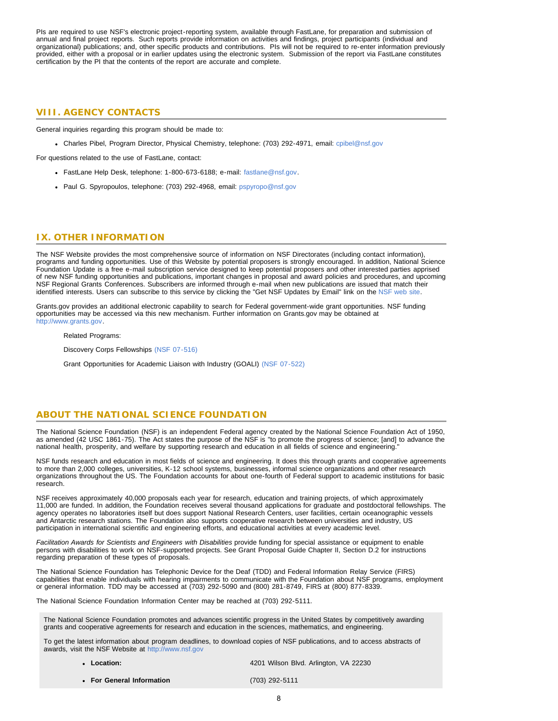PIs are required to use NSF's electronic project-reporting system, available through FastLane, for preparation and submission of annual and final project reports. Such reports provide information on activities and findings, project participants (individual and organizational) publications; and, other specific products and contributions. PIs will not be required to re-enter information previously provided, either with a proposal or in earlier updates using the electronic system. Submission of the report via FastLane constitutes certification by the PI that the contents of the report are accurate and complete.

## <span id="page-7-0"></span>**VIII. AGENCY CONTACTS**

General inquiries regarding this program should be made to:

Charles Pibel, Program Director, Physical Chemistry, telephone: (703) 292-4971, email: [cpibel@nsf.gov](mailto:cpibel@nsf.gov)

For questions related to the use of FastLane, contact:

- FastLane Help Desk, telephone: 1-800-673-6188; e-mail: [fastlane@nsf.gov.](mailto:fastlane@nsf.gov)
- Paul G. Spyropoulos, telephone: (703) 292-4968, email: [pspyropo@nsf.gov](mailto:pspyropo@nsf.gov)

## <span id="page-7-1"></span>**IX. OTHER INFORMATION**

The NSF Website provides the most comprehensive source of information on NSF Directorates (including contact information), programs and funding opportunities. Use of this Website by potential proposers is strongly encouraged. In addition, National Science Foundation Update is a free e-mail subscription service designed to keep potential proposers and other interested parties apprised of new NSF funding opportunities and publications, important changes in proposal and award policies and procedures, and upcoming NSF Regional Grants Conferences. Subscribers are informed through e-mail when new publications are issued that match their identified interests. Users can subscribe to this service by clicking the "Get NSF Updates by Email" link on the [NSF web site.](http://www.nsf.gov/)

Grants.gov provides an additional electronic capability to search for Federal government-wide grant opportunities. NSF funding opportunities may be accessed via this new mechanism. Further information on Grants.gov may be obtained at [http://www.grants.gov.](http://www.grants.gov/)

Related Programs:

Discovery Corps Fellowships [\(NSF 07-516\)](http://www.nsf.gov/publications/pub_summ.jsp?ods_key=nsf07516)

Grant Opportunities for Academic Liaison with Industry (GOALI) [\(NSF 07-522\)](http://www.nsf.gov/publications/pub_summ.jsp?ods_key=nsf07522)

## **ABOUT THE NATIONAL SCIENCE FOUNDATION**

The National Science Foundation (NSF) is an independent Federal agency created by the National Science Foundation Act of 1950, as amended (42 USC 1861-75). The Act states the purpose of the NSF is "to promote the progress of science; [and] to advance the national health, prosperity, and welfare by supporting research and education in all fields of science and engineering."

NSF funds research and education in most fields of science and engineering. It does this through grants and cooperative agreements to more than 2,000 colleges, universities, K-12 school systems, businesses, informal science organizations and other research organizations throughout the US. The Foundation accounts for about one-fourth of Federal support to academic institutions for basic research.

NSF receives approximately 40,000 proposals each year for research, education and training projects, of which approximately 11,000 are funded. In addition, the Foundation receives several thousand applications for graduate and postdoctoral fellowships. The agency operates no laboratories itself but does support National Research Centers, user facilities, certain oceanographic vessels and Antarctic research stations. The Foundation also supports cooperative research between universities and industry, US participation in international scientific and engineering efforts, and educational activities at every academic level.

*Facilitation Awards for Scientists and Engineers with Disabilities* provide funding for special assistance or equipment to enable persons with disabilities to work on NSF-supported projects. See Grant Proposal Guide Chapter II, Section D.2 for instructions regarding preparation of these types of proposals.

The National Science Foundation has Telephonic Device for the Deaf (TDD) and Federal Information Relay Service (FIRS) capabilities that enable individuals with hearing impairments to communicate with the Foundation about NSF programs, employment or general information. TDD may be accessed at (703) 292-5090 and (800) 281-8749, FIRS at (800) 877-8339.

The National Science Foundation Information Center may be reached at (703) 292-5111.

The National Science Foundation promotes and advances scientific progress in the United States by competitively awarding grants and cooperative agreements for research and education in the sciences, mathematics, and engineering.

To get the latest information about program deadlines, to download copies of NSF publications, and to access abstracts of awards, visit the NSF Website at [http://www.nsf.gov](http://www.nsf.gov/)

| • Location:               | 4201 Wilson Blvd. Arlington, VA 22230 |
|---------------------------|---------------------------------------|
| • For General Information | $(703)$ 292-5111                      |